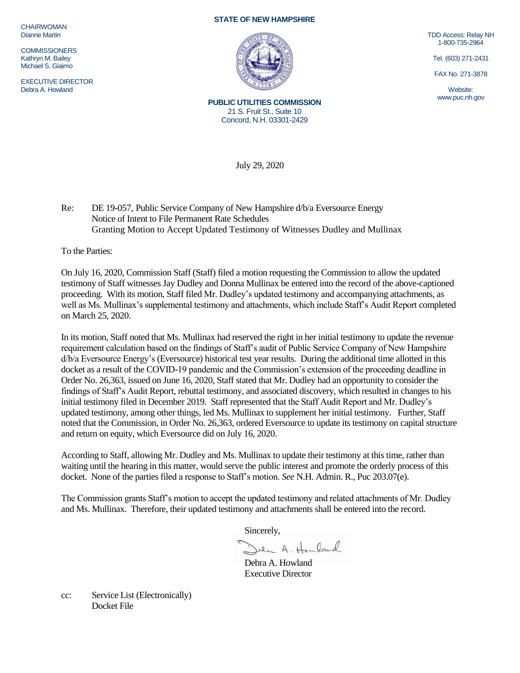**CHAIRWOMAN** Dianne Martin

**COMMISSIONERS** Kathryn M. Bailey Michael S. Giaimo

EXECUTIVE DIRECTOR Debra A. Howland

## **STATE OF NEW HAMPSHIRE**



**PUBLIC UTILITIES COMMISSION** 21 S. Fruit St., Suite 10 Concord, N.H. 03301-2429

TDD Access: Relay NH 1-800-735-2964

Tel. (603) 271-2431

FAX No. 271-3878

Website: www.puc.nh.gov

July 29, 2020

Re: DE 19-057, Public Service Company of New Hampshire d/b/a Eversource Energy Notice of Intent to File Permanent Rate Schedules Granting Motion to Accept Updated Testimony of Witnesses Dudley and Mullinax

To the Parties:

On July 16, 2020, Commission Staff (Staff) filed a motion requesting the Commission to allow the updated testimony of Staff witnesses Jay Dudley and Donna Mullinax be entered into the record of the above-captioned proceeding. With its motion, Staff filed Mr. Dudley's updated testimony and accompanying attachments, as well as Ms. Mullinax's supplemental testimony and attachments, which include Staff's Audit Report completed on March 25, 2020.

In its motion, Staff noted that Ms. Mullinax had reserved the right in her initial testimony to update the revenue requirement calculation based on the findings of Staff's audit of Public Service Company of New Hampshire d/b/a Eversource Energy's (Eversource) historical test year results. During the additional time allotted in this docket as a result of the COVID-19 pandemic and the Commission's extension of the proceeding deadline in Order No. 26,363, issued on June 16, 2020, Staff stated that Mr. Dudley had an opportunity to consider the findings of Staff's Audit Report, rebuttal testimony, and associated discovery, which resulted in changes to his initial testimony filed in December 2019. Staff represented that the Staff Audit Report and Mr. Dudley's updated testimony, among other things, led Ms. Mullinax to supplement her initial testimony. Further, Staff noted that the Commission, in Order No. 26,363, ordered Eversource to update its testimony on capital structure and return on equity, which Eversource did on July 16, 2020.

According to Staff, allowing Mr. Dudley and Ms. Mullinax to update their testimony at this time, rather than waiting until the hearing in this matter, would serve the public interest and promote the orderly process of this docket. None of the parties filed a response to Staff's motion. *See* N.H. Admin. R., Puc 203.07(e).

The Commission grants Staff's motion to accept the updated testimony and related attachments of Mr. Dudley and Ms. Mullinax. Therefore, their updated testimony and attachments shall be entered into the record.

Sincerely,

Jeen A. Howland

Debra A. Howland Executive Director

cc: Service List (Electronically) Docket File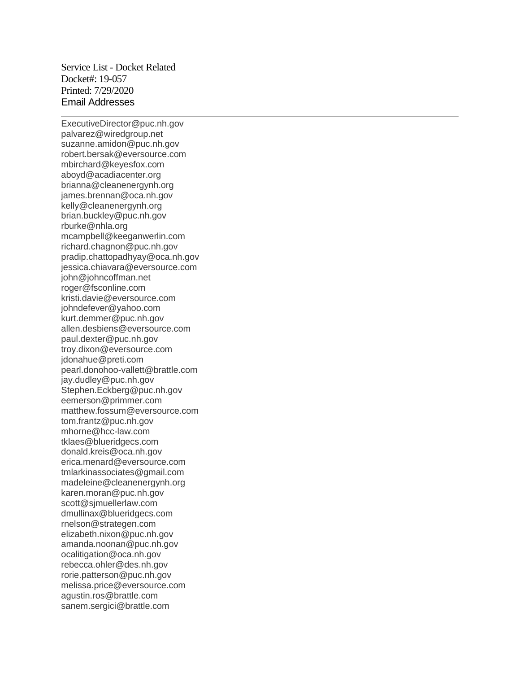Service List - Docket Related Docket#: 19-057 Printed: 7/29/2020 Email Addresses

ExecutiveDirector@puc.nh.gov palvarez@wiredgroup.net suzanne.amidon@puc.nh.gov robert.bersak@eversource.com mbirchard@keyesfox.com aboyd@acadiacenter.org brianna@cleanenergynh.org james.brennan@oca.nh.gov kelly@cleanenergynh.org brian.buckley@puc.nh.gov rburke@nhla.org mcampbell@keeganwerlin.com richard.chagnon@puc.nh.gov pradip.chattopadhyay@oca.nh.gov jessica.chiavara@eversource.com john@johncoffman.net roger@fsconline.com kristi.davie@eversource.com johndefever@yahoo.com kurt.demmer@puc.nh.gov allen.desbiens@eversource.com paul.dexter@puc.nh.gov troy.dixon@eversource.com jdonahue@preti.com pearl.donohoo-vallett@brattle.com jay.dudley@puc.nh.gov Stephen.Eckberg@puc.nh.gov eemerson@primmer.com matthew.fossum@eversource.com tom.frantz@puc.nh.gov mhorne@hcc-law.com tklaes@blueridgecs.com donald.kreis@oca.nh.gov erica.menard@eversource.com tmlarkinassociates@gmail.com madeleine@cleanenergynh.org karen.moran@puc.nh.gov scott@sjmuellerlaw.com dmullinax@blueridgecs.com rnelson@strategen.com elizabeth.nixon@puc.nh.gov amanda.noonan@puc.nh.gov ocalitigation@oca.nh.gov rebecca.ohler@des.nh.gov rorie.patterson@puc.nh.gov melissa.price@eversource.com agustin.ros@brattle.com sanem.sergici@brattle.com